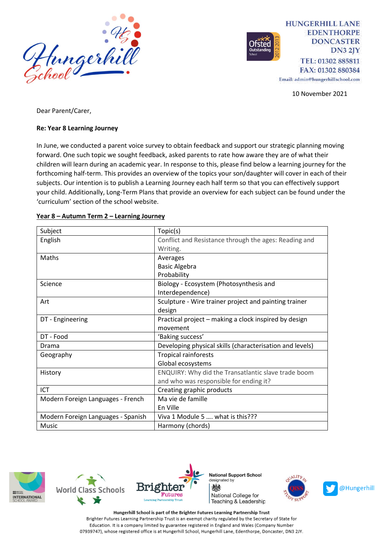

**HUNGERHILL LANE EDENTHORPE DONCASTER**  $DN32IY$ TEL: 01302 885811 FAX: 01302 880384

Email: admin@hungerhillschool.com

10 November 2021

Dear Parent/Carer,

#### **Re: Year 8 Learning Journey**

In June, we conducted a parent voice survey to obtain feedback and support our strategic planning moving forward. One such topic we sought feedback, asked parents to rate how aware they are of what their children will learn during an academic year. In response to this, please find below a learning journey for the forthcoming half-term. This provides an overview of the topics your son/daughter will cover in each of their subjects. Our intention is to publish a Learning Journey each half term so that you can effectively support your child. Additionally, Long-Term Plans that provide an overview for each subject can be found under the 'curriculum' section of the school website.

| Subject                            | Topic(s)                                                 |
|------------------------------------|----------------------------------------------------------|
| English                            | Conflict and Resistance through the ages: Reading and    |
|                                    | Writing.                                                 |
| Maths                              | Averages                                                 |
|                                    | <b>Basic Algebra</b>                                     |
|                                    | Probability                                              |
| Science                            | Biology - Ecosystem (Photosynthesis and                  |
|                                    | Interdependence)                                         |
| Art                                | Sculpture - Wire trainer project and painting trainer    |
|                                    | design                                                   |
| DT - Engineering                   | Practical project – making a clock inspired by design    |
|                                    | movement                                                 |
| DT - Food                          | 'Baking success'                                         |
| Drama                              | Developing physical skills (characterisation and levels) |
| Geography                          | <b>Tropical rainforests</b>                              |
|                                    | Global ecosystems                                        |
| History                            | ENQUIRY: Why did the Transatlantic slave trade boom      |
|                                    | and who was responsible for ending it?                   |
| ICT                                | Creating graphic products                                |
| Modern Foreign Languages - French  | Ma vie de famille                                        |
|                                    | En Ville                                                 |
| Modern Foreign Languages - Spanish | Viva 1 Module 5  what is this???                         |
| Music                              | Harmony (chords)                                         |

#### **Year 8 – Autumn Term 2 – Learning Journey**







**National Support School** designated by 燃 National College for Teaching & Leadership



Hungerhill School is part of the Brighter Futures Learning Partnership Trust Brighter Futures Learning Partnership Trust is an exempt charity regulated by the Secretary of State for Education. It is a company limited by guarantee registered in England and Wales (Company Number 07939747), whose registered office is at Hungerhill School, Hungerhill Lane, Edenthorpe, Doncaster, DN3 2JY.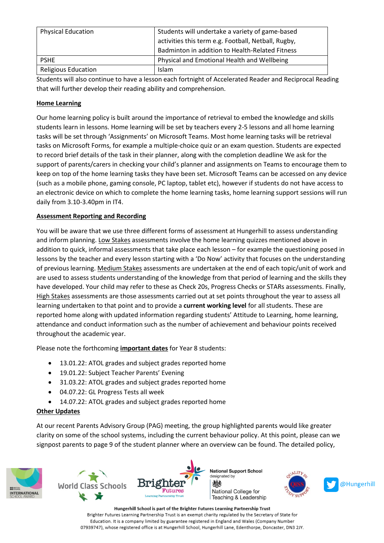| <b>Physical Education</b>  | Students will undertake a variety of game-based<br>activities this term e.g. Football, Netball, Rugby,<br>Badminton in addition to Health-Related Fitness |
|----------------------------|-----------------------------------------------------------------------------------------------------------------------------------------------------------|
| <b>PSHE</b>                | Physical and Emotional Health and Wellbeing                                                                                                               |
| <b>Religious Education</b> | Islam                                                                                                                                                     |

Students will also continue to have a lesson each fortnight of Accelerated Reader and Reciprocal Reading that will further develop their reading ability and comprehension.

### **Home Learning**

Our home learning policy is built around the importance of retrieval to embed the knowledge and skills students learn in lessons. Home learning will be set by teachers every 2-5 lessons and all home learning tasks will be set through 'Assignments' on Microsoft Teams. Most home learning tasks will be retrieval tasks on Microsoft Forms, for example a multiple-choice quiz or an exam question. Students are expected to record brief details of the task in their planner, along with the completion deadline We ask for the support of parents/carers in checking your child's planner and assignments on Teams to encourage them to keep on top of the home learning tasks they have been set. Microsoft Teams can be accessed on any device (such as a mobile phone, gaming console, PC laptop, tablet etc), however if students do not have access to an electronic device on which to complete the home learning tasks, home learning support sessions will run daily from 3.10-3.40pm in IT4.

## **Assessment Reporting and Recording**

You will be aware that we use three different forms of assessment at Hungerhill to assess understanding and inform planning. Low Stakes assessments involve the home learning quizzes mentioned above in addition to quick, informal assessments that take place each lesson – for example the questioning posed in lessons by the teacher and every lesson starting with a 'Do Now' activity that focuses on the understanding of previous learning. Medium Stakes assessments are undertaken at the end of each topic/unit of work and are used to assess students understanding of the knowledge from that period of learning and the skills they have developed. Your child may refer to these as Check 20s, Progress Checks or STARs assessments. Finally, High Stakes assessments are those assessments carried out at set points throughout the year to assess all learning undertaken to that point and to provide a **current working level** for all students. These are reported home along with updated information regarding students' Attitude to Learning, home learning, attendance and conduct information such as the number of achievement and behaviour points received throughout the academic year.

Please note the forthcoming **important dates** for Year 8 students:

- 13.01.22: ATOL grades and subject grades reported home
- 19.01.22: Subject Teacher Parents' Evening
- 31.03.22: ATOL grades and subject grades reported home
- 04.07.22: GL Progress Tests all week
- 14.07.22: ATOL grades and subject grades reported home

#### **Other Updates**

At our recent Parents Advisory Group (PAG) meeting, the group highlighted parents would like greater clarity on some of the school systems, including the current behaviour policy. At this point, please can we signpost parents to page 9 of the student planner where an overview can be found. The detailed policy,







Hungerhill School is part of the Brighter Futures Learning Partnership Trust Brighter Futures Learning Partnership Trust is an exempt charity regulated by the Secretary of State for Education. It is a company limited by guarantee registered in England and Wales (Company Number 07939747), whose registered office is at Hungerhill School, Hungerhill Lane, Edenthorpe, Doncaster, DN3 2JY.